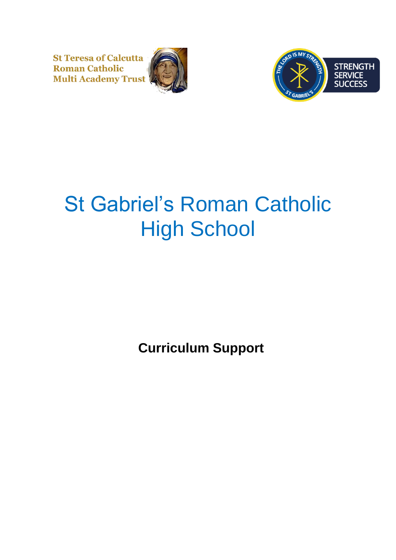**St Teresa of Calcutta Roman Catholic Multi Academy Trust** 





## St Gabriel's Roman Catholic High School

**Curriculum Support**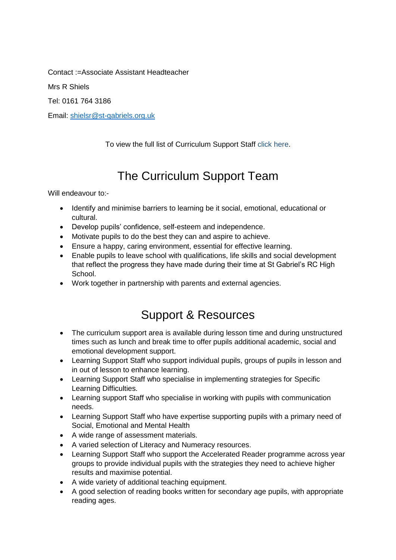Contact :=Associate Assistant Headteacher

Mrs R Shiels

Tel: 0161 764 3186

Email: [shielsr@st-gabriels.org.uk](mailto:shielsr@st-gabriels.org.uk)

To view the full list of Curriculum Support Staff click here.

## The Curriculum Support Team

Will endeavour to:-

- Identify and minimise barriers to learning be it social, emotional, educational or cultural.
- Develop pupils' confidence, self-esteem and independence.
- Motivate pupils to do the best they can and aspire to achieve.
- Ensure a happy, caring environment, essential for effective learning.
- Enable pupils to leave school with qualifications, life skills and social development that reflect the progress they have made during their time at St Gabriel's RC High School.
- Work together in partnership with parents and external agencies.

## Support & Resources

- The curriculum support area is available during lesson time and during unstructured times such as lunch and break time to offer pupils additional academic, social and emotional development support.
- Learning Support Staff who support individual pupils, groups of pupils in lesson and in out of lesson to enhance learning.
- Learning Support Staff who specialise in implementing strategies for Specific Learning Difficulties.
- Learning support Staff who specialise in working with pupils with communication needs.
- Learning Support Staff who have expertise supporting pupils with a primary need of Social, Emotional and Mental Health
- A wide range of assessment materials.
- A varied selection of Literacy and Numeracy resources.
- Learning Support Staff who support the Accelerated Reader programme across year groups to provide individual pupils with the strategies they need to achieve higher results and maximise potential.
- A wide variety of additional teaching equipment.
- A good selection of reading books written for secondary age pupils, with appropriate reading ages.